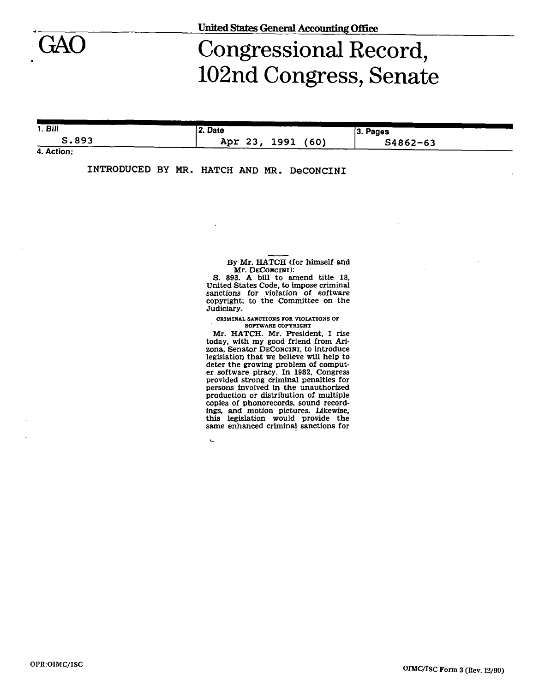GAO

## Congressional Record, 102nd Congress, Senate

| 1. <b>B</b> | 2. Date                 | $ 3.$ Pages  |  |  |
|-------------|-------------------------|--------------|--|--|
| S.893       | Apr 23,<br>1991<br>(60) | $S4862 - 63$ |  |  |

**4. Action:** 

| INTRODUCED BY MR. HATCH AND MR. DeCONCINI |  |  |  |  |  |  |
|-------------------------------------------|--|--|--|--|--|--|
|-------------------------------------------|--|--|--|--|--|--|

 $\overline{a}$ 

By Mr. HATCH (for himself and Mr. DECONCINI):

S. 893. A bill to amend title 18, United States Code, to impose criminal sanctions for violation of software copyright; to the Committee on the Judiciary.

**CRIMINAL SANCTIONS FOR VIOLATIONS OF SOFTWARE COPYRIGHT** 

Mr. HATCH. Mr. President, I rise today, with my good friend from Arizona, Senator DECONCLNI, to introduce legislation that we believe will help to deter the growing problem of computer software piracy. In 1982, Congress provided strong criminal penalties for persons involved in the unauthorized production or distribution of multiple copies of phonorecords, sound recordings, and motion pictures. Likewise, this legislation would provide the same enhanced criminal sanctions for

**OPR:OIMC/ISC**